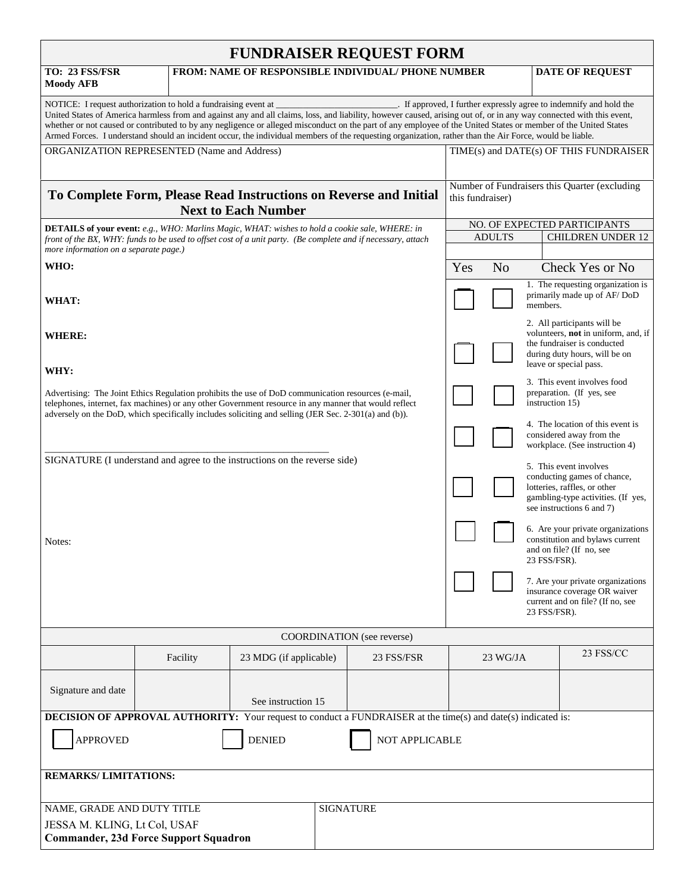## **FUNDRAISER REQUEST FORM**

| TO: 23 FSS/FSR<br>FROM: NAME OF RESPONSIBLE INDIVIDUAL/ PHONE NUMBER<br><b>Moody AFB</b>                                                                                                                                                                                                                             |                              |                                                                                                                                                                                                                                                                                                                                                                                                                                                                                                    | <b>DATE OF REQUEST</b>                    |                                                                    |                                                                                                                                                              |                                   |
|----------------------------------------------------------------------------------------------------------------------------------------------------------------------------------------------------------------------------------------------------------------------------------------------------------------------|------------------------------|----------------------------------------------------------------------------------------------------------------------------------------------------------------------------------------------------------------------------------------------------------------------------------------------------------------------------------------------------------------------------------------------------------------------------------------------------------------------------------------------------|-------------------------------------------|--------------------------------------------------------------------|--------------------------------------------------------------------------------------------------------------------------------------------------------------|-----------------------------------|
| NOTICE: I request authorization to hold a fundraising event at                                                                                                                                                                                                                                                       |                              | United States of America harmless from and against any and all claims, loss, and liability, however caused, arising out of, or in any way connected with this event,<br>whether or not caused or contributed to by any negligence or alleged misconduct on the part of any employee of the United States or member of the United States<br>Armed Forces. I understand should an incident occur, the individual members of the requesting organization, rather than the Air Force, would be liable. |                                           | . If approved, I further expressly agree to indemnify and hold the |                                                                                                                                                              |                                   |
| ORGANIZATION REPRESENTED (Name and Address)                                                                                                                                                                                                                                                                          |                              |                                                                                                                                                                                                                                                                                                                                                                                                                                                                                                    |                                           | TIME(s) and DATE(s) OF THIS FUNDRAISER                             |                                                                                                                                                              |                                   |
| To Complete Form, Please Read Instructions on Reverse and Initial<br><b>Next to Each Number</b>                                                                                                                                                                                                                      |                              |                                                                                                                                                                                                                                                                                                                                                                                                                                                                                                    |                                           | Number of Fundraisers this Quarter (excluding<br>this fundraiser)  |                                                                                                                                                              |                                   |
|                                                                                                                                                                                                                                                                                                                      | NO. OF EXPECTED PARTICIPANTS |                                                                                                                                                                                                                                                                                                                                                                                                                                                                                                    |                                           |                                                                    |                                                                                                                                                              |                                   |
| <b>DETAILS of your event:</b> e.g., WHO: Marlins Magic, WHAT: wishes to hold a cookie sale, WHERE: in<br>front of the BX, WHY: funds to be used to offset cost of a unit party. (Be complete and if necessary, attach<br>more information on a separate page.)                                                       |                              |                                                                                                                                                                                                                                                                                                                                                                                                                                                                                                    | <b>ADULTS</b><br><b>CHILDREN UNDER 12</b> |                                                                    |                                                                                                                                                              |                                   |
| WHO:                                                                                                                                                                                                                                                                                                                 |                              |                                                                                                                                                                                                                                                                                                                                                                                                                                                                                                    |                                           | Yes<br>N <sub>o</sub>                                              |                                                                                                                                                              | Check Yes or No                   |
|                                                                                                                                                                                                                                                                                                                      |                              |                                                                                                                                                                                                                                                                                                                                                                                                                                                                                                    |                                           |                                                                    |                                                                                                                                                              | 1. The requesting organization is |
| WHAT:                                                                                                                                                                                                                                                                                                                |                              |                                                                                                                                                                                                                                                                                                                                                                                                                                                                                                    |                                           | primarily made up of AF/DoD<br>members.                            |                                                                                                                                                              |                                   |
| <b>WHERE:</b>                                                                                                                                                                                                                                                                                                        |                              |                                                                                                                                                                                                                                                                                                                                                                                                                                                                                                    |                                           |                                                                    | 2. All participants will be<br>volunteers, not in uniform, and, if<br>the fundraiser is conducted<br>during duty hours, will be on<br>leave or special pass. |                                   |
| WHY:                                                                                                                                                                                                                                                                                                                 |                              |                                                                                                                                                                                                                                                                                                                                                                                                                                                                                                    |                                           |                                                                    |                                                                                                                                                              |                                   |
| Advertising: The Joint Ethics Regulation prohibits the use of DoD communication resources (e-mail,<br>telephones, internet, fax machines) or any other Government resource in any manner that would reflect<br>adversely on the DoD, which specifically includes soliciting and selling (JER Sec. 2-301(a) and (b)). |                              |                                                                                                                                                                                                                                                                                                                                                                                                                                                                                                    |                                           |                                                                    | 3. This event involves food<br>preparation. (If yes, see<br>instruction 15)                                                                                  |                                   |
|                                                                                                                                                                                                                                                                                                                      |                              |                                                                                                                                                                                                                                                                                                                                                                                                                                                                                                    |                                           |                                                                    | 4. The location of this event is<br>considered away from the<br>workplace. (See instruction 4)                                                               |                                   |
| SIGNATURE (I understand and agree to the instructions on the reverse side)                                                                                                                                                                                                                                           |                              |                                                                                                                                                                                                                                                                                                                                                                                                                                                                                                    |                                           |                                                                    |                                                                                                                                                              |                                   |
| Notes:                                                                                                                                                                                                                                                                                                               |                              |                                                                                                                                                                                                                                                                                                                                                                                                                                                                                                    |                                           |                                                                    | 5. This event involves<br>conducting games of chance,<br>lotteries, raffles, or other<br>gambling-type activities. (If yes,<br>see instructions 6 and 7)     |                                   |
|                                                                                                                                                                                                                                                                                                                      |                              |                                                                                                                                                                                                                                                                                                                                                                                                                                                                                                    |                                           |                                                                    | 6. Are your private organizations<br>constitution and bylaws current<br>and on file? (If no, see<br>23 FSS/FSR).                                             |                                   |
|                                                                                                                                                                                                                                                                                                                      |                              |                                                                                                                                                                                                                                                                                                                                                                                                                                                                                                    |                                           |                                                                    |                                                                                                                                                              |                                   |
|                                                                                                                                                                                                                                                                                                                      |                              |                                                                                                                                                                                                                                                                                                                                                                                                                                                                                                    |                                           |                                                                    |                                                                                                                                                              |                                   |
|                                                                                                                                                                                                                                                                                                                      |                              | 7. Are your private organizations<br>insurance coverage OR waiver<br>current and on file? (If no, see<br>23 FSS/FSR).                                                                                                                                                                                                                                                                                                                                                                              |                                           |                                                                    |                                                                                                                                                              |                                   |
|                                                                                                                                                                                                                                                                                                                      |                              |                                                                                                                                                                                                                                                                                                                                                                                                                                                                                                    | <b>COORDINATION</b> (see reverse)         |                                                                    |                                                                                                                                                              |                                   |
|                                                                                                                                                                                                                                                                                                                      | Facility                     | 23 MDG (if applicable)                                                                                                                                                                                                                                                                                                                                                                                                                                                                             | 23 FSS/FSR                                | $23$ WG/JA                                                         |                                                                                                                                                              | 23 FSS/CC                         |
| Signature and date                                                                                                                                                                                                                                                                                                   |                              | See instruction 15                                                                                                                                                                                                                                                                                                                                                                                                                                                                                 |                                           |                                                                    |                                                                                                                                                              |                                   |
|                                                                                                                                                                                                                                                                                                                      |                              | <b>DECISION OF APPROVAL AUTHORITY:</b> Your request to conduct a FUNDRAISER at the time(s) and date(s) indicated is:                                                                                                                                                                                                                                                                                                                                                                               |                                           |                                                                    |                                                                                                                                                              |                                   |
| <b>APPROVED</b><br><b>DENIED</b><br>NOT APPLICABLE                                                                                                                                                                                                                                                                   |                              |                                                                                                                                                                                                                                                                                                                                                                                                                                                                                                    |                                           |                                                                    |                                                                                                                                                              |                                   |
| <b>REMARKS/LIMITATIONS:</b>                                                                                                                                                                                                                                                                                          |                              |                                                                                                                                                                                                                                                                                                                                                                                                                                                                                                    |                                           |                                                                    |                                                                                                                                                              |                                   |
| NAME, GRADE AND DUTY TITLE<br><b>SIGNATURE</b>                                                                                                                                                                                                                                                                       |                              |                                                                                                                                                                                                                                                                                                                                                                                                                                                                                                    |                                           |                                                                    |                                                                                                                                                              |                                   |
| JESSA M. KLING, Lt Col, USAF                                                                                                                                                                                                                                                                                         |                              |                                                                                                                                                                                                                                                                                                                                                                                                                                                                                                    |                                           |                                                                    |                                                                                                                                                              |                                   |
| <b>Commander, 23d Force Support Squadron</b>                                                                                                                                                                                                                                                                         |                              |                                                                                                                                                                                                                                                                                                                                                                                                                                                                                                    |                                           |                                                                    |                                                                                                                                                              |                                   |